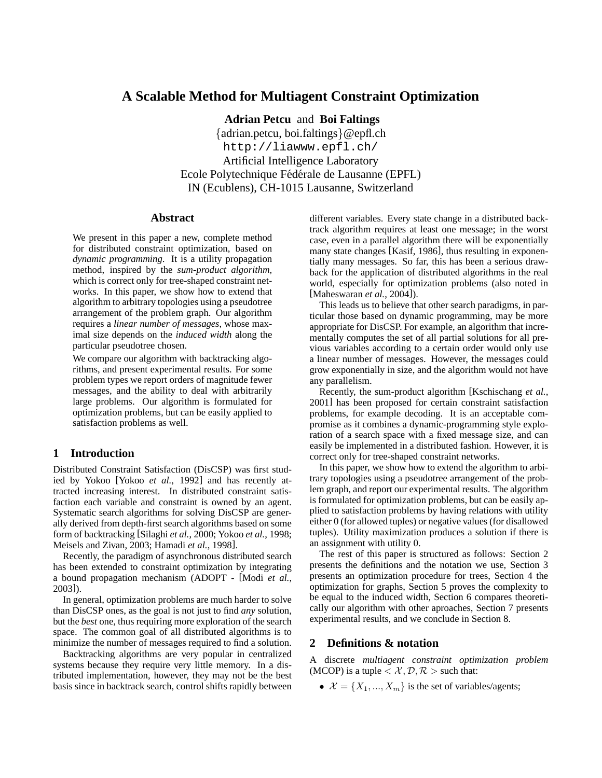# **A Scalable Method for Multiagent Constraint Optimization**

**Adrian Petcu** and **Boi Faltings** {adrian.petcu, boi.faltings}@epfl.ch http://liawww.epfl.ch/ Artificial Intelligence Laboratory Ecole Polytechnique Fédérale de Lausanne (EPFL) IN (Ecublens), CH-1015 Lausanne, Switzerland

### **Abstract**

We present in this paper a new, complete method for distributed constraint optimization, based on *dynamic programming*. It is a utility propagation method, inspired by the *sum-product algorithm*, which is correct only for tree-shaped constraint networks. In this paper, we show how to extend that algorithm to arbitrary topologies using a pseudotree arrangement of the problem graph. Our algorithm requires a *linear number of messages*, whose maximal size depends on the *induced width* along the particular pseudotree chosen.

We compare our algorithm with backtracking algorithms, and present experimental results. For some problem types we report orders of magnitude fewer messages, and the ability to deal with arbitrarily large problems. Our algorithm is formulated for optimization problems, but can be easily applied to satisfaction problems as well.

# **1 Introduction**

Distributed Constraint Satisfaction (DisCSP) was first studied by Yokoo [Yokoo *et al.*, 1992] and has recently attracted increasing interest. In distributed constraint satisfaction each variable and constraint is owned by an agent. Systematic search algorithms for solving DisCSP are generally derived from depth-first search algorithms based on some form of backtracking [Silaghi *et al.*, 2000; Yokoo *et al.*, 1998; Meisels and Zivan, 2003; Hamadi *et al.*, 1998].

Recently, the paradigm of asynchronous distributed search has been extended to constraint optimization by integrating a bound propagation mechanism (ADOPT - [Modi *et al.*, 2003]).

In general, optimization problems are much harder to solve than DisCSP ones, as the goal is not just to find *any* solution, but the *best* one, thus requiring more exploration of the search space. The common goal of all distributed algorithms is to minimize the number of messages required to find a solution.

Backtracking algorithms are very popular in centralized systems because they require very little memory. In a distributed implementation, however, they may not be the best basis since in backtrack search, control shifts rapidly between different variables. Every state change in a distributed backtrack algorithm requires at least one message; in the worst case, even in a parallel algorithm there will be exponentially many state changes [Kasif, 1986], thus resulting in exponentially many messages. So far, this has been a serious drawback for the application of distributed algorithms in the real world, especially for optimization problems (also noted in [Maheswaran *et al.*, 2004]).

This leads us to believe that other search paradigms, in particular those based on dynamic programming, may be more appropriate for DisCSP. For example, an algorithm that incrementally computes the set of all partial solutions for all previous variables according to a certain order would only use a linear number of messages. However, the messages could grow exponentially in size, and the algorithm would not have any parallelism.

Recently, the sum-product algorithm [Kschischang *et al.*, 2001] has been proposed for certain constraint satisfaction problems, for example decoding. It is an acceptable compromise as it combines a dynamic-programming style exploration of a search space with a fixed message size, and can easily be implemented in a distributed fashion. However, it is correct only for tree-shaped constraint networks.

In this paper, we show how to extend the algorithm to arbitrary topologies using a pseudotree arrangement of the problem graph, and report our experimental results. The algorithm is formulated for optimization problems, but can be easily applied to satisfaction problems by having relations with utility either 0 (for allowed tuples) or negative values (for disallowed tuples). Utility maximization produces a solution if there is an assignment with utility 0.

The rest of this paper is structured as follows: Section 2 presents the definitions and the notation we use, Section 3 presents an optimization procedure for trees, Section 4 the optimization for graphs, Section 5 proves the complexity to be equal to the induced width, Section 6 compares theoretically our algorithm with other aproaches, Section 7 presents experimental results, and we conclude in Section 8.

## **2 Definitions & notation**

A discrete *multiagent constraint optimization problem* (MCOP) is a tuple  $\langle \mathcal{X}, \mathcal{D}, \mathcal{R} \rangle$  such that:

•  $\mathcal{X} = \{X_1, ..., X_m\}$  is the set of variables/agents;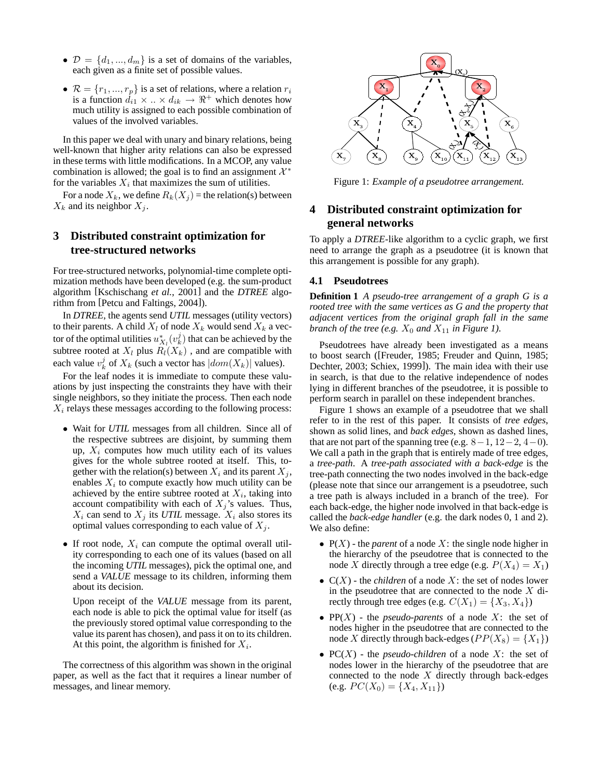- $\mathcal{D} = \{d_1, ..., d_m\}$  is a set of domains of the variables, each given as a finite set of possible values.
- $\mathcal{R} = \{r_1, ..., r_p\}$  is a set of relations, where a relation  $r_i$ is a function  $d_{i1} \times ... \times d_{ik} \rightarrow \Re^+$  which denotes how much utility is assigned to each possible combination of values of the involved variables.

In this paper we deal with unary and binary relations, being well-known that higher arity relations can also be expressed in these terms with little modifications. In a MCOP, any value combination is allowed; the goal is to find an assignment  $\mathcal{X}^*$ for the variables  $X_i$  that maximizes the sum of utilities.

For a node  $X_k$ , we define  $R_k(X_i)$  = the relation(s) between  $X_k$  and its neighbor  $X_i$ .

# **3 Distributed constraint optimization for tree-structured networks**

For tree-structured networks, polynomial-time complete optimization methods have been developed (e.g. the sum-product algorithm [Kschischang *et al.*, 2001] and the *DTREE* algorithm from [Petcu and Faltings, 2004]).

In *DTREE*, the agents send *UTIL* messages (utility vectors) to their parents. A child  $X_l$  of node  $X_k$  would send  $X_k$  a vector of the optimal utilities  $u_{X_l}^*(v_k^j)$  that can be achieved by the subtree rooted at  $X_l$  plus  $R_l(X_k)$ , and are compatible with each value  $v_k^j$  of  $X_k$  (such a vector has  $|dom(X_k)|$  values).

For the leaf nodes it is immediate to compute these valuations by just inspecting the constraints they have with their single neighbors, so they initiate the process. Then each node  $X_i$  relays these messages according to the following process:

- Wait for *UTIL* messages from all children. Since all of the respective subtrees are disjoint, by summing them up,  $X_i$  computes how much utility each of its values gives for the whole subtree rooted at itself. This, together with the relation(s) between  $X_i$  and its parent  $X_j$ , enables  $X_i$  to compute exactly how much utility can be achieved by the entire subtree rooted at  $X_i$ , taking into account compatibility with each of  $X_i$ 's values. Thus,  $X_i$  can send to  $X_j$  its *UTIL* message.  $X_i$  also stores its optimal values corresponding to each value of  $X_i$ .
- If root node,  $X_i$  can compute the optimal overall utility corresponding to each one of its values (based on all the incoming *UTIL* messages), pick the optimal one, and send a *VALUE* message to its children, informing them about its decision.

Upon receipt of the *VALUE* message from its parent, each node is able to pick the optimal value for itself (as the previously stored optimal value corresponding to the value its parent has chosen), and passit on to its children. At this point, the algorithm is finished for  $X_i$ .

The correctness of this algorithm was shown in the original paper, as well as the fact that it requires a linear number of messages, and linear memory.



Figure 1: *Example of a pseudotree arrangement.*

# **4 Distributed constraint optimization for general networks**

To apply a *DTREE*-like algorithm to a cyclic graph, we first need to arrange the graph as a pseudotree (it is known that this arrangement is possible for any graph).

## **4.1 Pseudotrees**

**Definition 1** *A pseudo-tree arrangement of a graph G is a rooted tree with the same vertices as G and the property that adjacent vertices from the original graph fall in the same branch of the tree* (*e.g.*  $X_0$  *and*  $X_{11}$  *in Figure 1*).

Pseudotrees have already been investigated as a means to boost search ([Freuder, 1985; Freuder and Quinn, 1985; Dechter, 2003; Schiex, 1999]). The main idea with their use in search, is that due to the relative independence of nodes lying in different branches of the pseudotree, it is possible to perform search in parallel on these independent branches.

Figure 1 shows an example of a pseudotree that we shall refer to in the rest of this paper. It consists of *tree edges*, shown as solid lines, and *back edges*, shown as dashed lines, that are not part of the spanning tree (e.g.  $8-1$ ,  $12-2$ ,  $4-0$ ). We call a path in the graph that is entirely made of tree edges, a *tree-path*. A *tree-path associated with a back-edge* is the tree-path connecting the two nodes involved in the back-edge (please note that since our arrangement is a pseudotree, such a tree path is always included in a branch of the tree). For each back-edge, the higher node involved in that back-edge is called the *back-edge handler* (e.g. the dark nodes 0, 1 and 2). We also define:

- $P(X)$  the *parent* of a node X: the single node higher in the hierarchy of the pseudotree that is connected to the node X directly through a tree edge (e.g.  $P(X_4) = X_1$ )
- $C(X)$  the *children* of a node X: the set of nodes lower in the pseudotree that are connected to the node  $X$  directly through tree edges (e.g.  $C(X_1) = \{X_3, X_4\}$ )
- $PP(X)$  the *pseudo-parents* of a node X: the set of nodes higher in the pseudotree that are connected to the node X directly through back-edges ( $PP(X_8) = \{X_1\}$ )
- $PC(X)$  the *pseudo-children* of a node X: the set of nodes lower in the hierarchy of the pseudotree that are connected to the node  $X$  directly through back-edges (e.g.  $PC(X_0) = \{X_4, X_{11}\}\)$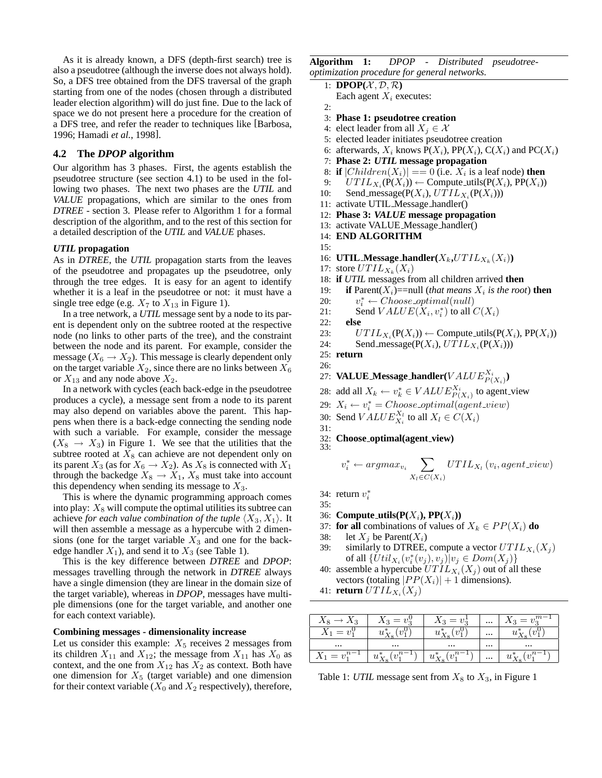As it is already known, a DFS (depth-first search) tree is also a pseudotree (although the inverse does not always hold). So, a DFS tree obtained from the DFS traversal of the graph starting from one of the nodes (chosen through a distributed leader election algorithm) will do just fine. Due to the lack of space we do not present here a procedure for the creation of a DFS tree, and refer the reader to techniques like [Barbosa, 1996; Hamadi *et al.*, 1998].

## **4.2 The** *DPOP* **algorithm**

Our algorithm has 3 phases. First, the agents establish the pseudotree structure (see section 4.1) to be used in the following two phases. The next two phases are the *UTIL* and *VALUE* propagations, which are similar to the ones from *DTREE* - section 3. Please refer to Algorithm 1 for a formal description of the algorithm, and to the rest of this section for a detailed description of the *UTIL* and *VALUE* phases.

### *UTIL* **propagation**

As in *DTREE*, the *UTIL* propagation starts from the leaves of the pseudotree and propagates up the pseudotree, only through the tree edges. It is easy for an agent to identify whether it is a leaf in the pseudotree or not: it must have a single tree edge (e.g.  $X_7$  to  $X_{13}$  in Figure 1).

In a tree network, a *UTIL* message sent by a node to its parent is dependent only on the subtree rooted at the respective node (no links to other parts of the tree), and the constraint between the node and its parent. For example, consider the message ( $X_6 \rightarrow X_2$ ). This message is clearly dependent only on the target variable  $X_2$ , since there are no links between  $X_6$ or  $X_{13}$  and any node above  $X_2$ .

In a network with cycles (each back-edge in the pseudotree produces a cycle), a message sent from a node to its parent may also depend on variables above the parent. This happens when there is a back-edge connecting the sending node with such a variable. For example, consider the message  $(X_8 \rightarrow X_3)$  in Figure 1. We see that the utilities that the subtree rooted at  $X_8$  can achieve are not dependent only on its parent  $X_3$  (as for  $X_6 \to X_2$ ). As  $X_8$  is connected with  $X_1$ through the backedge  $X_8 \to X_1, X_8$  must take into account this dependency when sending its message to  $X_3$ .

This is where the dynamic programming approach comes into play:  $X_8$  will compute the optimal utilities its subtree can achieve *for each value combination of the tuple*  $\langle X_3, X_1 \rangle$ . It will then assemble a message as a hypercube with 2 dimensions (one for the target variable  $X_3$  and one for the backedge handler  $X_1$ ), and send it to  $X_3$  (see Table 1).

This is the key difference between *DTREE* and *DPOP*: messages travelling through the network in *DTREE* always have a single dimension (they are linear in the domain size of the target variable), whereas in *DPOP*, messages have multiple dimensions (one for the target variable, and another one for each context variable).

## **Combining messages - dimensionality increase**

Let us consider this example:  $X_5$  receives 2 messages from its children  $X_{11}$  and  $X_{12}$ ; the message from  $X_{11}$  has  $X_0$  as context, and the one from  $X_{12}$  has  $X_2$  as context. Both have one dimension for  $X_5$  (target variable) and one dimension for their context variable  $(X_0$  and  $X_2$  respectively), therefore, **Algorithm 1:** *DPOP - Distributed pseudotreeoptimization procedure for general networks.*

- 1: **DPOP** $(\mathcal{X}, \mathcal{D}, \mathcal{R})$ 
	- Each agent  $X_i$  executes:
- 2:
- 3: **Phase 1: pseudotree creation**
- 4: elect leader from all  $X_i \in \mathcal{X}$
- 5: elected leader initiates pseudotree creation
- 6: afterwards,  $X_i$  knows  $P(X_i)$ ,  $PP(X_i)$ ,  $C(X_i)$  and  $PC(X_i)$
- 7: **Phase 2:** *UTIL* **message propagation**
- 8: **if**  $|Children(X_i)| == 0$  (i.e.  $X_i$  is a leaf node) **then**
- 9:  $UTIL_{X_i}(\mathbf{P}(X_i)) \leftarrow \text{Compute\_utils}(\mathbf{P}(X_i), \mathbf{P}\mathbf{P}(X_i))$
- 10: Send\_message( $P(X_i)$ ,  $UTIL_{X_i}(P(X_i))$ )
- 11: activate UTIL Message handler()
- 12: **Phase 3:** *VALUE* **message propagation**
- 13: activate VALUE Message handler()
- 14: **END ALGORITHM**
- 15:

16: **UTIL\_Message\_handler**( $X_k, UTIL_{X_k}(X_i)$ )

- 17: store  $UTIL_{X_k}(X_i)$
- 18: **if** *UTIL* messages from all children arrived **then**
- 19: **if** Parent $(X_i)$ ==null (*that means*  $X_i$  *is the root*) **then**
- $20:$  $a_i^* \leftarrow Choose\_optimal(null)$ <br>ond  $V_A I I I F (X_{i+1}^*)$  to all

21: Send 
$$
VALUE(X_i, v_i^*)
$$
 to all  $C(X_i)$ 

22: **else**

- 23:  $UTIL_{X_i}(\mathbf{P}(X_i)) \leftarrow \text{Compute\_utils}(\mathbf{P}(X_i), \mathbf{P}\mathbf{P}(X_i))$
- 24: Send\_message $(P(X_i), U T I L_{X_i}(P(X_i)))$
- 25: **return** 26:
- 27: **VALUE Message handler** ( $VALUE_{P(X_i)}^{X_i}$ )
- 28: add all  $X_k \leftarrow v_k^* \in VALUE_{P(X_i)}^{X_i}$  to agent\_view
- 29:  $X_i \leftarrow v_i^* = Choose\_optimal(agent\_view)$
- 30: Send  $VALUEX_i}^{X_l}$  to all  $X_l \in C(X_i)$
- 31:
- 32: **Choose optimal(agent view)** 33:

$$
v_i^* \leftarrow argmax_{v_i} \sum_{X_l \in C(X_i)} UTL_{X_l}(v_i, agent\_view)
$$

34: return  $v_i^*$ 

- 35:
- 36: **Compute\_utils(** $P(X_i)$ **,**  $PP(X_i)$ **)**
- 37: **for all** combinations of values of  $X_k \in PP(X_i)$  **do**
- 38: let  $X_i$  be Parent $(X_i)$
- 39: similarly to DTREE, compute a vector  $UTIL_{X_i}(X_j)$ of all  $\{Util_{X_i}(v_i^*(v_j), v_j)|v_j \in Dom(X_j)\}$
- 40: assemble a hypercube  $UTIL_{X_i}(X_j)$  out of all these vectors (totaling  $|PP(X_i)| + 1$  dimensions).
- 41: **return**  $UTIL_{X_i}(X_j)$

| 13             |                                  | $= v_2^{\perp}$<br>$\Omega$ | $\cdots$ | $\cdot v^{m-}$      |
|----------------|----------------------------------|-----------------------------|----------|---------------------|
| $= v_1^{\vee}$ |                                  |                             | $\cdots$ | $\cdot \cdot \cdot$ |
| $\cdots$       | $\cdots$                         | $\cdots$                    | $\cdots$ | $\cdots$            |
| $=$            | $\boldsymbol{u}$<br>$\mathbf{v}$ | $u^*_{\mathbf{v}}(v)$       | $\cdots$ | $u_{\mathbf{v}}$    |

Table 1: *UTIL* message sent from  $X_8$  to  $X_3$ , in Figure 1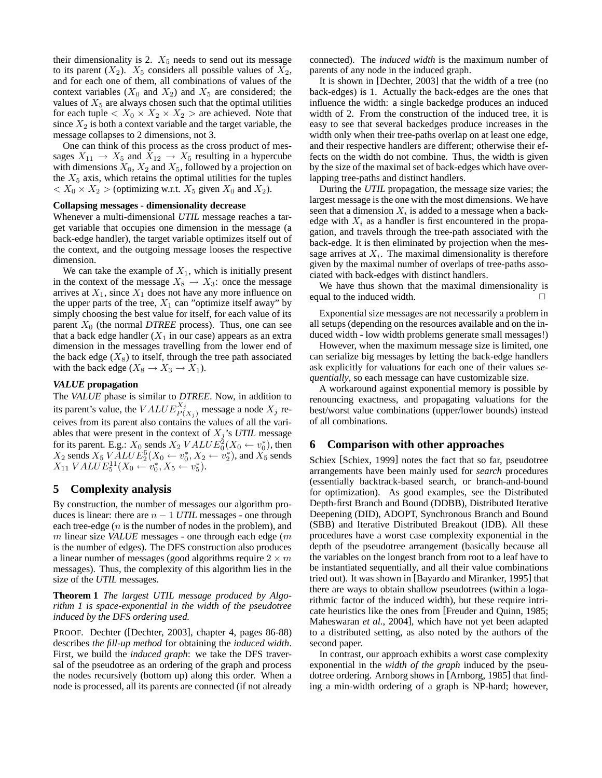their dimensionality is 2.  $X_5$  needs to send out its message to its parent  $(X_2)$ .  $X_5$  considers all possible values of  $X_2$ , and for each one of them, all combinations of values of the context variables  $(X_0$  and  $X_2$ ) and  $X_5$  are considered; the values of  $X<sub>5</sub>$  are always chosen such that the optimal utilities for each tuple  $X_0 \times X_2 \times X_2$   $>$  are achieved. Note that since  $X_2$  is both a context variable and the target variable, the message collapses to 2 dimensions, not 3.

One can think of this process as the cross product of messages  $X_{11} \rightarrow X_5$  and  $X_{12} \rightarrow X_5$  resulting in a hypercube with dimensions  $X_0$ ,  $X_2$  and  $X_5$ , followed by a projection on the  $X_5$  axis, which retains the optimal utilities for the tuples  $X_0 \times X_2$  > (optimizing w.r.t.  $X_5$  given  $X_0$  and  $X_2$ ).

#### **Collapsing messages - dimensionality decrease**

Whenever a multi-dimensional *UTIL* message reaches a target variable that occupies one dimension in the message (a back-edge handler), the target variable optimizes itself out of the context, and the outgoing message looses the respective dimension.

We can take the example of  $X_1$ , which is initially present in the context of the message  $X_8 \to X_3$ : once the message arrives at  $X_1$ , since  $X_1$  does not have any more influence on the upper parts of the tree,  $X_1$  can "optimize itself away" by simply choosing the best value for itself, for each value of its parent  $X_0$  (the normal *DTREE* process). Thus, one can see that a back edge handler  $(X_1$  in our case) appears as an extra dimension in the messages travelling from the lower end of the back edge  $(X_8)$  to itself, through the tree path associated with the back edge ( $X_8 \rightarrow X_3 \rightarrow X_1$ ).

#### *VALUE* **propagation**

The *VALUE* phase is similar to *DTREE*. Now, in addition to its parent's value, the  $VALUE_{P(X_j)}^{X_j}$  message a node  $X_j$  receives from its parent also contains the values of all the variables that were present in the context of  $X_j$ 's *UTIL* message for its parent. E.g.:  $X_0$  sends  $X_2 \text{ } VALUE_0^2(X_0 \leftarrow v_0^*)$ , then  $X_2$  sends  $X_5$   $\overline{YALUE}_2^5$  $(X_0 \leftarrow v_0^*, X_2 \leftarrow v_2^*)$ , and  $X_5$  sends  $X_{11}$   $VALU E_5^{11}(X_0 \leftarrow v_0^*, X_5 \leftarrow v_5^*).$ 

# **5 Complexity analysis**

By construction, the number of messages our algorithm produces is linear: there are  $n - 1$  *UTIL* messages - one through each tree-edge  $(n$  is the number of nodes in the problem), and m linear size *VALUE* messages - one through each edge (m) is the number of edges). The DFS construction also produces a linear number of messages (good algorithms require  $2 \times m$ messages). Thus, the complexity of this algorithm lies in the size of the *UTIL* messages.

**Theorem 1** *The largest UTIL message produced by Algorithm 1 is space-exponential in the width of the pseudotree induced by the DFS ordering used.*

PROOF. Dechter ([Dechter, 2003], chapter 4, pages 86-88) describes *the fill-up method* for obtaining the *induced width*. First, we build the *induced graph*: we take the DFS traversal of the pseudotree as an ordering of the graph and process the nodes recursively (bottom up) along this order. When a node is processed, all its parents are connected (if not already connected). The *induced width* is the maximum number of parents of any node in the induced graph.

It is shown in [Dechter, 2003] that the width of a tree (no back-edges) is 1. Actually the back-edges are the ones that influence the width: a single backedge produces an induced width of 2. From the construction of the induced tree, it is easy to see that several backedges produce increases in the width only when their tree-paths overlap on at least one edge, and their respective handlers are different; otherwise their effects on the width do not combine. Thus, the width is given by the size of the maximal set of back-edges which have overlapping tree-paths and distinct handlers.

During the *UTIL* propagation, the message size varies; the largest message is the one with the most dimensions. We have seen that a dimension  $X_i$  is added to a message when a backedge with  $X_i$  as a handler is first encountered in the propagation, and travels through the tree-path associated with the back-edge. It is then eliminated by projection when the message arrives at  $X_i$ . The maximal dimensionality is therefore given by the maximal number of overlaps of tree-paths associated with back-edges with distinct handlers.

We have thus shown that the maximal dimensionality is equal to the induced width.  $\Box$ 

Exponential size messages are not necessarily a problem in all setups (depending on the resources available and on the induced width - low width problems generate small messages!)

However, when the maximum message size is limited, one can serialize big messages by letting the back-edge handlers ask explicitly for valuations for each one of their values *sequentially*, so each message can have customizable size.

A workaround against exponential memory is possible by renouncing exactness, and propagating valuations for the best/worst value combinations (upper/lower bounds) instead of all combinations.

### **6 Comparison with other approaches**

Schiex [Schiex, 1999] notes the fact that so far, pseudotree arrangements have been mainly used for *search* procedures (essentially backtrack-based search, or branch-and-bound for optimization). As good examples, see the Distributed Depth-first Branch and Bound (DDBB), Distributed Iterative Deepening (DID), ADOPT, Synchronous Branch and Bound (SBB) and Iterative Distributed Breakout (IDB). All these procedures have a worst case complexity exponential in the depth of the pseudotree arrangement (basically because all the variables on the longest branch from root to a leaf have to be instantiated sequentially, and all their value combinations tried out). It was shown in [Bayardo and Miranker, 1995] that there are ways to obtain shallow pseudotrees (within a logarithmic factor of the induced width), but these require intricate heuristics like the ones from [Freuder and Quinn, 1985; Maheswaran *et al.*, 2004], which have not yet been adapted to a distributed setting, as also noted by the authors of the second paper.

In contrast, our approach exhibits a worst case complexity exponential in the *width of the graph* induced by the pseudotree ordering. Arnborg shows in [Arnborg, 1985] that finding a min-width ordering of a graph is NP-hard; however,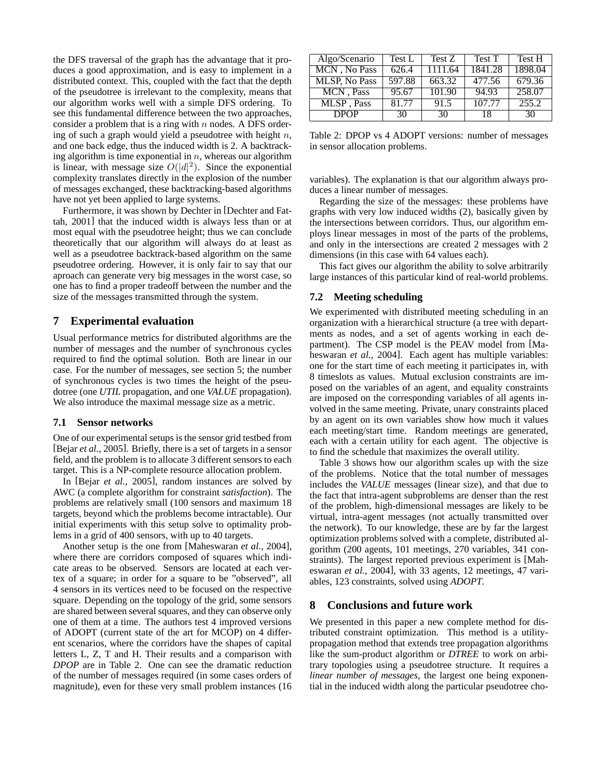the DFS traversal of the graph has the advantage that it produces a good approximation, and is easy to implement in a distributed context. This, coupled with the fact that the depth of the pseudotree is irrelevant to the complexity, means that our algorithm works well with a simple DFS ordering. To see this fundamental difference between the two approaches, consider a problem that is a ring with  $n$  nodes. A DFS ordering of such a graph would yield a pseudotree with height  $n$ , and one back edge, thus the induced width is 2. A backtracking algorithm is time exponential in  $n$ , whereas our algorithm is linear, with message size  $O(|d|^2)$ . Since the exponential complexity translates directly in the explosion of the number of messages exchanged, these backtracking-based algorithms have not yet been applied to large systems.

Furthermore, it was shown by Dechter in [Dechter and Fattah, 2001] that the induced width is always less than or at most equal with the pseudotree height; thus we can conclude theoretically that our algorithm will always do at least as well as a pseudotree backtrack-based algorithm on the same pseudotree ordering. However, it is only fair to say that our aproach can generate very big messages in the worst case, so one has to find a proper tradeoff between the number and the size of the messages transmitted through the system.

## **7 Experimental evaluation**

Usual performance metrics for distributed algorithms are the number of messages and the number of synchronous cycles required to find the optimal solution. Both are linear in our case. For the number of messages, see section 5; the number of synchronous cycles is two times the height of the pseudotree (one *UTIL* propagation, and one *VALUE* propagation). We also introduce the maximal message size as a metric.

#### **7.1 Sensor networks**

One of our experimental setups is the sensor grid testbed from [Bejar *et al.*, 2005]. Briefly, there is a set of targets in a sensor field, and the problem is to allocate 3 different sensors to each target. This is a NP-complete resource allocation problem.

In [Bejar *et al.*, 2005], random instances are solved by AWC (a complete algorithm for constraint *satisfaction*). The problems are relatively small (100 sensors and maximum 18 targets, beyond which the problems become intractable). Our initial experiments with this setup solve to optimality problems in a grid of 400 sensors, with up to 40 targets.

Another setup is the one from [Maheswaran *et al.*, 2004], where there are corridors composed of squares which indicate areas to be observed. Sensors are located at each vertex of a square; in order for a square to be "observed", all 4 sensors in its vertices need to be focused on the respective square. Depending on the topology of the grid, some sensors are shared between several squares, and they can observe only one of them at a time. The authors test 4 improved versions of ADOPT (current state of the art for MCOP) on 4 different scenarios, where the corridors have the shapes of capital letters L, Z, T and H. Their results and a comparison with *DPOP* are in Table 2. One can see the dramatic reduction of the number of messages required (in some cases orders of magnitude), even for these very small problem instances (16

| Algo/Scenario        | Test L | Test Z  | Test T  | Test H  |
|----------------------|--------|---------|---------|---------|
| MCN, No Pass         | 626.4  | 1111.64 | 1841.28 | 1898.04 |
| <b>MLSP, No Pass</b> | 597.88 | 663.32  | 477.56  | 679.36  |
| MCN, Pass            | 95.67  | 101.90  | 94.93   | 258.07  |
| MLSP, Pass           | 81.77  | 91.5    | 107.77  | 255.2   |
| <b>DPOP</b>          | 30     | 30      | 18      | 30      |

Table 2: DPOP vs 4 ADOPT versions: number of messages in sensor allocation problems.

variables). The explanation is that our algorithm always produces a linear number of messages.

Regarding the size of the messages: these problems have graphs with very low induced widths (2), basically given by the intersections between corridors. Thus, our algorithm employs linear messages in most of the parts of the problems, and only in the intersections are created 2 messages with 2 dimensions (in this case with 64 values each).

This fact gives our algorithm the ability to solve arbitrarily large instances of this particular kind of real-world problems.

## **7.2 Meeting scheduling**

We experimented with distributed meeting scheduling in an organization with a hierarchical structure (a tree with departments as nodes, and a set of agents working in each department). The CSP model is the PEAV model from [Maheswaran *et al.*, 2004]. Each agent has multiple variables: one for the start time of each meeting it participates in, with 8 timeslots as values. Mutual exclusion constraints are imposed on the variables of an agent, and equality constraints are imposed on the corresponding variables of all agents involved in the same meeting. Private, unary constraints placed by an agent on its own variables show how much it values each meeting/start time. Random meetings are generated, each with a certain utility for each agent. The objective is to find the schedule that maximizes the overall utility.

Table 3 shows how our algorithm scales up with the size of the problems. Notice that the total number of messages includes the *VALUE* messages (linear size), and that due to the fact that intra-agent subproblems are denser than the rest of the problem, high-dimensional messages are likely to be virtual, intra-agent messages (not actually transmitted over the network). To our knowledge, these are by far the largest optimization problems solved with a complete, distributed algorithm (200 agents, 101 meetings, 270 variables, 341 constraints). The largest reported previous experiment is [Maheswaran *et al.*, 2004], with 33 agents, 12 meetings, 47 variables, 123 constraints, solved using *ADOPT*.

## **8 Conclusions and future work**

We presented in this paper a new complete method for distributed constraint optimization. This method is a utilitypropagation method that extends tree propagation algorithms like the sum-product algorithm or *DTREE* to work on arbitrary topologies using a pseudotree structure. It requires a *linear number of messages*, the largest one being exponential in the induced width along the particular pseudotree cho-